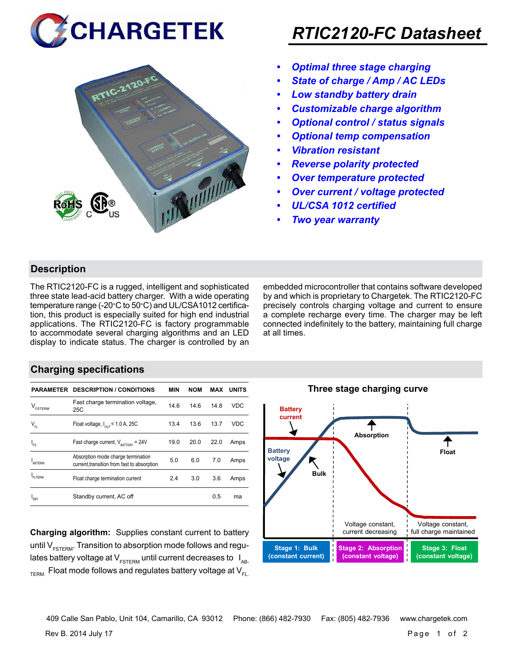



## *RTIC2120-FC Datasheet*

- *• Optimal three stage charging*
- *• State of charge / Amp / AC LEDs*
- *• Low standby battery drain*
- *• Customizable charge algorithm*
- *• Optional control / status signals*
- *• Optional temp compensation*
- *• Vibration resistant*
- *• Reverse polarity protected*
- *• Over temperature protected*
- *• Over current / voltage protected*
- *• UL/CSA 1012 certified*
- *• Two year warranty*

#### **Description**

The RTIC2120-FC is a rugged, intelligent and sophisticated three state lead-acid battery charger. With a wide operating temperature range (-20°C to 50°C) and UL/CSA1012 certification, this product is especially suited for high end industrial applications. The RTIC2120-FC is factory programmable to accommodate several charging algorithms and an LED display to indicate status. The charger is controlled by an embedded microcontroller that contains software developed by and which is proprietary to Chargetek. The RTIC2120-FC precisely controls charging voltage and current to ensure a complete recharge every time. The charger may be left connected indefinitely to the battery, maintaining full charge at all times.

#### **Charging specifications**

|                                      | <b>PARAMETER DESCRIPTION / CONDITIONS</b>                                         | MIN  | <b>NOM</b> | MAX  | <b>UNITS</b> |
|--------------------------------------|-----------------------------------------------------------------------------------|------|------------|------|--------------|
| $\mathsf{V}_{\texttt{\tiny FSTERN}}$ | Fast charge termination voltage,<br>25C                                           | 14.6 | 14.6       | 14.8 | VDC          |
| $V_{FL}$                             | Float voltage, $I_{\text{out}}$ < 1.0 A, 25C                                      | 13.4 | 13.6       | 13.7 | <b>VDC</b>   |
| $I_{FS}$                             | Fast charge current, $V_{\text{partrev}} = 24V$                                   | 19.0 | 20.0       | 22.0 | Amps         |
| <b>ARTERM</b>                        | Absorption mode charge termination<br>current, transition from fast to absorption | 5.0  | 6.0        | 7.0  | Amps         |
| FI TFRM                              | Float charge termination current                                                  | 2.4  | 3.0        | 3.6  | Amps         |
| SRY                                  | Standby current, AC off                                                           |      |            | 0.5  | ma           |

**Charging algorithm:** Supplies constant current to battery until  $V_{ESTFRM}$ . Transition to absorption mode follows and regulates battery voltage at  $V_{ESTERM}$  until current decreases to  $I_{AR}$  $T_{\text{ERM}}$  Float mode follows and regulates battery voltage at  $V_{\text{F1}}$ 



**Three stage charging curve**

Rev B. 2014 July 17 Page 1 of 2 409 Calle San Pablo, Unit 104, Camarillo, CA 93012 Phone: (866) 482-7930 Fax: (805) 482-7936 www.chargetek.com